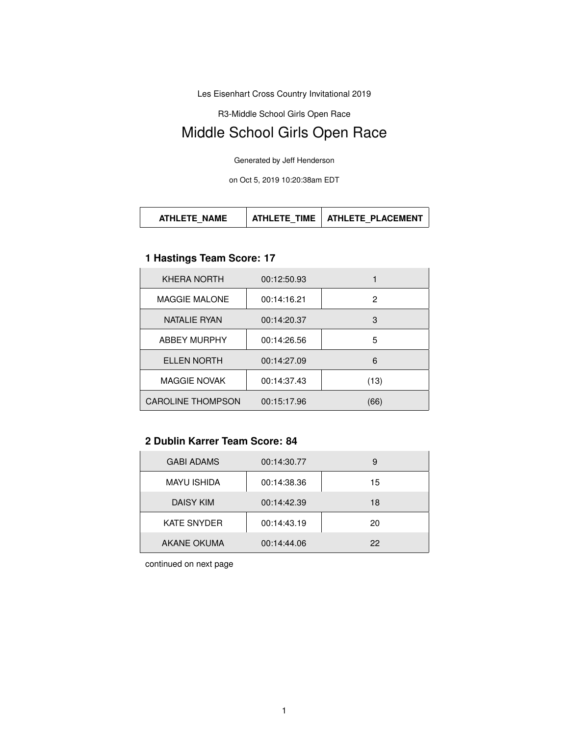Les Eisenhart Cross Country Invitational 2019

R3-Middle School Girls Open Race

# Middle School Girls Open Race

Generated by Jeff Henderson

on Oct 5, 2019 10:20:38am EDT

# **1 Hastings Team Score: 17**

| KHERA NORTH              | 00:12:50.93 |      |
|--------------------------|-------------|------|
| <b>MAGGIE MALONE</b>     | 00:14:16.21 | 2    |
| NATALIE RYAN             | 00:14:20.37 | 3    |
| <b>ABBEY MURPHY</b>      | 00:14:26.56 | 5    |
| <b>ELLEN NORTH</b>       | 00:14:27.09 | 6    |
| <b>MAGGIE NOVAK</b>      | 00:14:37.43 | (13) |
| <b>CAROLINE THOMPSON</b> | 00:15:17.96 | 66)  |

### **2 Dublin Karrer Team Score: 84**

| <b>GABI ADAMS</b>  | 00:14:30.77 | 9  |
|--------------------|-------------|----|
| <b>MAYU ISHIDA</b> | 00:14:38.36 | 15 |
| <b>DAISY KIM</b>   | 00:14:42.39 | 18 |
| <b>KATE SNYDER</b> | 00:14:43.19 | 20 |
| AKANE OKUMA        | 00:14:44.06 | 22 |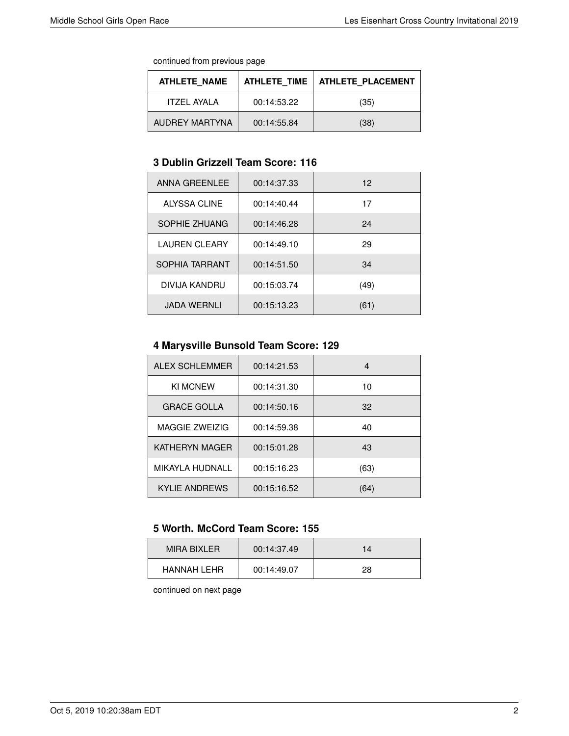continued from previous page

| <b>ATHLETE NAME</b> | ATHLETE TIME I | <b>ATHLETE PLACEMENT</b> |
|---------------------|----------------|--------------------------|
| ITZFI AYAI A        | 00:14:53.22    | (35)                     |
| AUDREY MARTYNA      | 00:14:55.84    | (38)                     |

#### **3 Dublin Grizzell Team Score: 116**

| ANNA GREENLEE        | 00:14:37.33 | 12   |
|----------------------|-------------|------|
| ALYSSA CLINE         | 00:14:40.44 | 17   |
| SOPHIE ZHUANG        | 00:14:46.28 | 24   |
| <b>LAUREN CLEARY</b> | 00:14:49.10 | 29   |
| SOPHIA TARRANT       | 00:14:51.50 | 34   |
| DIVIJA KANDRU        | 00:15:03.74 | (49) |
| <b>JADA WERNLI</b>   | 00:15:13.23 | (61) |

# **4 Marysville Bunsold Team Score: 129**

| <b>ALEX SCHLEMMER</b> | 00:14:21.53 | 4    |
|-----------------------|-------------|------|
| <b>KI MCNEW</b>       | 00:14:31.30 | 10   |
| <b>GRACE GOLLA</b>    | 00:14:50.16 | 32   |
| <b>MAGGIE ZWEIZIG</b> | 00:14:59.38 | 40   |
| KATHERYN MAGER        | 00:15:01.28 | 43   |
| MIKAYLA HUDNALL       | 00:15:16.23 | (63) |
| KYLIE ANDREWS         | 00:15:16.52 | (64) |

#### **5 Worth. McCord Team Score: 155**

| MIRA BIXI FR | 00:14:37.49 | 14 |
|--------------|-------------|----|
| HANNAH I FHR | 00:14:49.07 | 28 |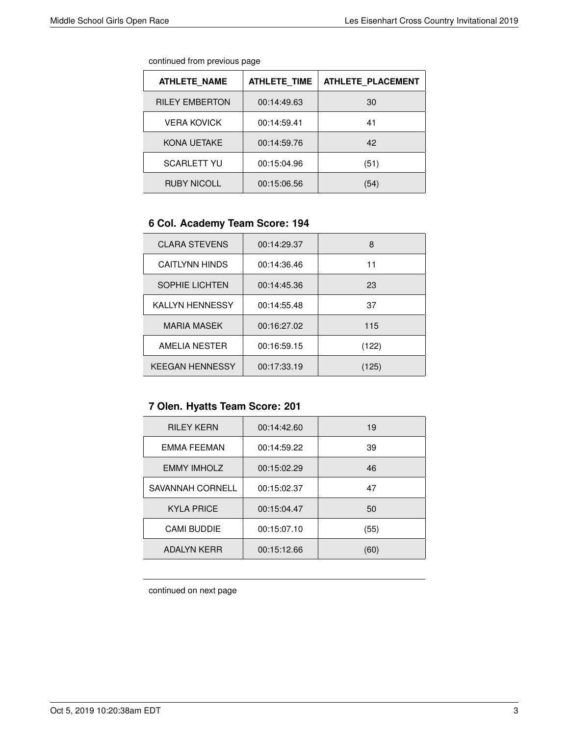| continued from previous page |  |  |
|------------------------------|--|--|
|                              |  |  |

| <b>ATHLETE NAME</b>   | <b>ATHLETE TIME</b> | <b>ATHLETE PLACEMENT</b> |
|-----------------------|---------------------|--------------------------|
| <b>RILEY EMBERTON</b> | 00:14:49.63         | 30                       |
| <b>VERA KOVICK</b>    | 00:14:59.41         | 41                       |
| KONA UETAKE           | 00:14:59.76         | 42                       |
| <b>SCARLETT YU</b>    | 00:15:04.96         | (51)                     |
| <b>RUBY NICOLL</b>    | 00:15:06.56         | (54)                     |

# **6 Col. Academy Team Score: 194**

| <b>CLARA STEVENS</b>   | 00:14:29.37 | 8     |
|------------------------|-------------|-------|
| <b>CAITLYNN HINDS</b>  | 00:14:36.46 | 11    |
| <b>SOPHIE LICHTEN</b>  | 00:14:45.36 | 23    |
| <b>KALLYN HENNESSY</b> | 00:14:55.48 | 37    |
| <b>MARIA MASEK</b>     | 00:16:27.02 | 115   |
| AMELIA NESTER          | 00:16:59.15 | (122) |
| <b>KEEGAN HENNESSY</b> | 00:17:33.19 | (125) |

# **7 Olen. Hyatts Team Score: 201**

| <b>RILEY KERN</b>  | 00:14:42.60 | 19   |
|--------------------|-------------|------|
| EMMA FEEMAN        | 00:14:59.22 | 39   |
| <b>EMMY IMHOLZ</b> | 00:15:02.29 | 46   |
| SAVANNAH CORNELL   | 00:15:02.37 | 47   |
| <b>KYLA PRICE</b>  | 00:15:04.47 | 50   |
| <b>CAMI BUDDIE</b> | 00:15:07.10 | (55) |
| <b>ADALYN KERR</b> | 00:15:12.66 | (60) |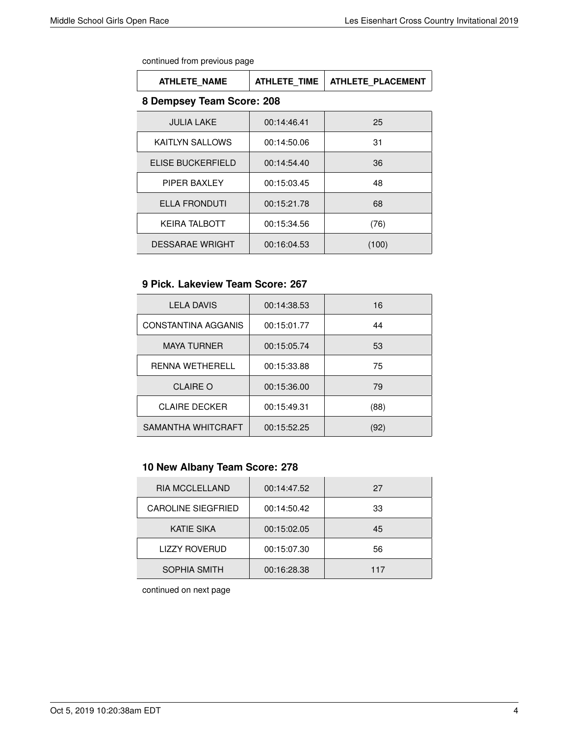continued from previous page

| <b>ATHLETE NAME</b>       | <b>ATHLETE TIME</b> | ATHLETE PLACEMENT |  |
|---------------------------|---------------------|-------------------|--|
| 8 Dempsey Team Score: 208 |                     |                   |  |
| <b>JULIA LAKE</b>         | 00:14:46.41         | 25                |  |
| <b>KAITLYN SALLOWS</b>    | 00:14:50.06         | 31                |  |
| ELISE BUCKERFIELD         | 00:14:54.40         | 36                |  |
| PIPER BAXLEY              | 00:15:03.45         | 48                |  |
| <b>ELLA FRONDUTI</b>      | 00:15:21.78         | 68                |  |
| <b>KEIRA TALBOTT</b>      | 00:15:34.56         | (76)              |  |
| <b>DESSARAE WRIGHT</b>    | 00:16:04.53         | (100)             |  |

#### **9 Pick. Lakeview Team Score: 267**

| <b>LELA DAVIS</b>          | 00:14:38.53 | 16   |
|----------------------------|-------------|------|
| <b>CONSTANTINA AGGANIS</b> | 00:15:01.77 | 44   |
| <b>MAYA TURNER</b>         | 00:15:05.74 | 53   |
| <b>RENNA WETHERELL</b>     | 00:15:33.88 | 75   |
| <b>CLAIRE O</b>            | 00:15:36.00 | 79   |
| <b>CLAIRE DECKER</b>       | 00:15:49.31 | (88) |
| SAMANTHA WHITCRAFT         | 00:15:52.25 | (92  |

## **10 New Albany Team Score: 278**

| <b>RIA MCCLELLAND</b>     | 00:14:47.52 | 27  |
|---------------------------|-------------|-----|
| <b>CAROLINE SIEGFRIED</b> | 00:14:50.42 | 33  |
| <b>KATIE SIKA</b>         | 00:15:02.05 | 45  |
| <b>LIZZY ROVERUD</b>      | 00:15:07.30 | 56  |
| <b>SOPHIA SMITH</b>       | 00:16:28.38 | 117 |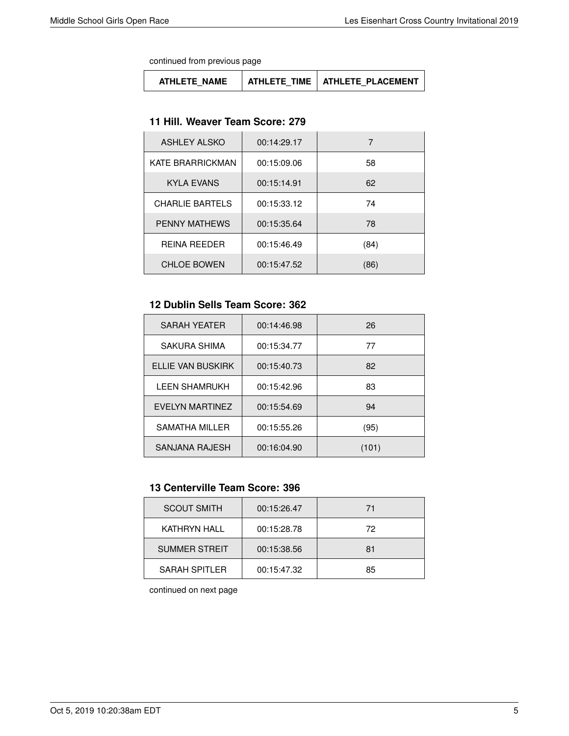continued from previous page

| <b>ATHLETE NAME</b> |  | ATHLETE TIME   ATHLETE PLACEMENT |
|---------------------|--|----------------------------------|
|---------------------|--|----------------------------------|

#### **11 Hill. Weaver Team Score: 279**

| ASHLEY ALSKO           | 00:14:29.17 |      |
|------------------------|-------------|------|
| KATE BRARRICKMAN       | 00:15:09.06 | 58   |
| <b>KYLA EVANS</b>      | 00:15:14.91 | 62   |
| <b>CHARLIE BARTELS</b> | 00:15:33.12 | 74   |
| <b>PENNY MATHEWS</b>   | 00:15:35.64 | 78   |
| <b>REINA REEDER</b>    | 00:15:46.49 | (84) |
| <b>CHLOE BOWEN</b>     | 00:15:47.52 | (86) |

# **12 Dublin Sells Team Score: 362**

| SARAH YEATER         | 00:14:46.98 | 26    |
|----------------------|-------------|-------|
| SAKURA SHIMA         | 00:15:34.77 | 77    |
| ELLIE VAN BUSKIRK    | 00:15:40.73 | 82    |
| <b>LEEN SHAMRUKH</b> | 00:15:42.96 | 83    |
| EVELYN MARTINEZ      | 00:15:54.69 | 94    |
| SAMATHA MILLER       | 00:15:55.26 | (95)  |
| SANJANA RAJESH       | 00:16:04.90 | (101) |

## **13 Centerville Team Score: 396**

| <b>SCOUT SMITH</b>   | 00:15:26.47 | 71 |
|----------------------|-------------|----|
| KATHRYN HALL         | 00:15:28.78 | 72 |
| <b>SUMMER STREIT</b> | 00:15:38.56 | 81 |
| <b>SARAH SPITLER</b> | 00:15:47.32 | 85 |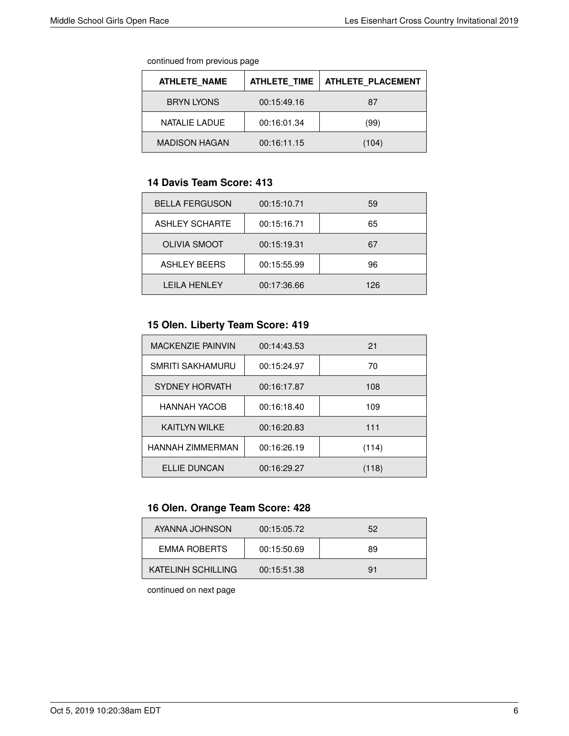continued from previous page

| <b>ATHLETE NAME</b>  | <b>ATHLETE TIME</b> | <b>ATHLETE PLACEMENT</b> |
|----------------------|---------------------|--------------------------|
| <b>BRYN LYONS</b>    | 00:15:49.16         | 87                       |
| NATALIE LADUE        | 00:16:01.34         | (99)                     |
| <b>MADISON HAGAN</b> | 00:16:11.15         | (104)                    |

#### **14 Davis Team Score: 413**

| <b>BELLA FERGUSON</b> | 00:15:10.71 | 59  |
|-----------------------|-------------|-----|
| <b>ASHLEY SCHARTE</b> | 00:15:16.71 | 65  |
| <b>OLIVIA SMOOT</b>   | 00:15:19.31 | 67  |
| <b>ASHLEY BEERS</b>   | 00:15:55.99 | 96  |
| I FII A HFNI FY       | 00:17:36.66 | 126 |

## **15 Olen. Liberty Team Score: 419**

| <b>MACKENZIE PAINVIN</b> | 00:14:43.53 | 21    |
|--------------------------|-------------|-------|
| <b>SMRITI SAKHAMURU</b>  | 00:15:24.97 | 70    |
| SYDNEY HORVATH           | 00:16:17.87 | 108   |
| <b>HANNAH YACOB</b>      | 00:16:18.40 | 109   |
| KAITI YN WII KF          | 00:16:20.83 | 111   |
| <b>HANNAH ZIMMERMAN</b>  | 00:16:26.19 | (114) |
| <b>ELLIE DUNCAN</b>      | 00:16:29.27 | (118) |

# **16 Olen. Orange Team Score: 428**

| AYANNA JOHNSON      | 00:15:05.72 | 52 |
|---------------------|-------------|----|
| <b>EMMA ROBERTS</b> | 00:15:50.69 | 89 |
| KATELINH SCHILLING  | 00:15:51.38 | 91 |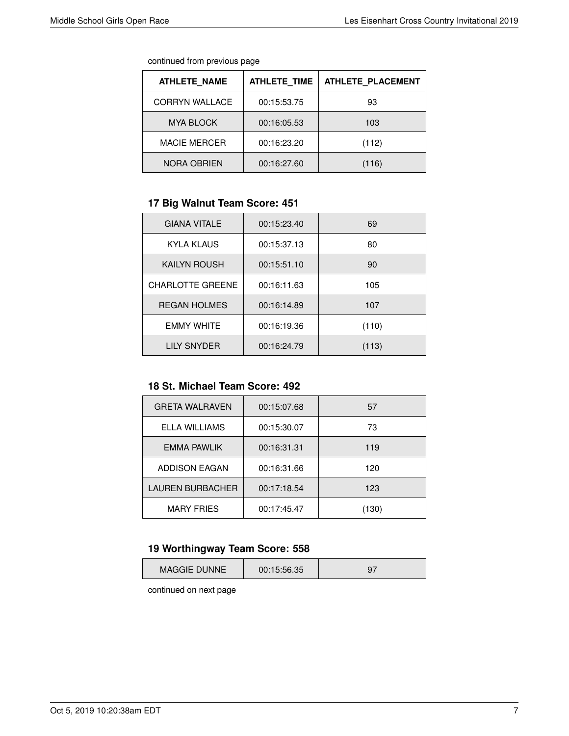continued from previous page

| <b>ATHLETE NAME</b>   | <b>ATHLETE TIME</b> | <b>ATHLETE PLACEMENT</b> |
|-----------------------|---------------------|--------------------------|
| <b>CORRYN WALLACE</b> | 00:15:53.75         | 93                       |
| <b>MYA BLOCK</b>      | 00:16:05.53         | 103                      |
| <b>MACIE MERCER</b>   | 00:16:23.20         | (112)                    |
| NORA OBRIEN           | 00:16:27.60         | (116)                    |

# **17 Big Walnut Team Score: 451**

| <b>GIANA VITALE</b>     | 00:15:23.40 | 69    |
|-------------------------|-------------|-------|
| KYLA KLAUS              | 00:15:37.13 | 80    |
| <b>KAILYN ROUSH</b>     | 00:15:51.10 | 90    |
| <b>CHARLOTTE GREENE</b> | 00:16:11.63 | 105   |
| <b>REGAN HOLMES</b>     | 00:16:14.89 | 107   |
| <b>EMMY WHITE</b>       | 00:16:19.36 | (110) |
| LILY SNYDER             | 00:16:24.79 | (113) |

#### **18 St. Michael Team Score: 492**

| <b>GRETA WALRAVEN</b>   | 00:15:07.68 | 57    |
|-------------------------|-------------|-------|
| ELLA WILLIAMS           | 00:15:30.07 | 73    |
| EMMA PAWLIK             | 00:16:31.31 | 119   |
| ADDISON EAGAN           | 00:16:31.66 | 120   |
| <b>LAUREN BURBACHER</b> | 00:17:18.54 | 123   |
| <b>MARY FRIES</b>       | 00:17:45.47 | (130) |

# **19 Worthingway Team Score: 558**

|--|